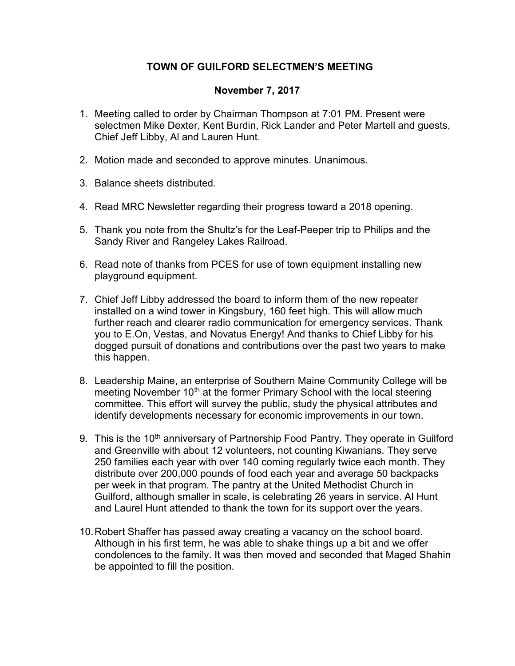## TOWN OF GUILFORD SELECTMEN'S MEETING

## November 7, 2017

- 1. Meeting called to order by Chairman Thompson at 7:01 PM. Present were selectmen Mike Dexter, Kent Burdin, Rick Lander and Peter Martell and guests, Chief Jeff Libby, Al and Lauren Hunt.
- 2. Motion made and seconded to approve minutes. Unanimous.
- 3. Balance sheets distributed.
- 4. Read MRC Newsletter regarding their progress toward a 2018 opening.
- 5. Thank you note from the Shultz's for the Leaf-Peeper trip to Philips and the Sandy River and Rangeley Lakes Railroad.
- 6. Read note of thanks from PCES for use of town equipment installing new playground equipment.
- 7. Chief Jeff Libby addressed the board to inform them of the new repeater installed on a wind tower in Kingsbury, 160 feet high. This will allow much further reach and clearer radio communication for emergency services. Thank you to E.On, Vestas, and Novatus Energy! And thanks to Chief Libby for his dogged pursuit of donations and contributions over the past two years to make this happen.
- 8. Leadership Maine, an enterprise of Southern Maine Community College will be meeting November 10<sup>th</sup> at the former Primary School with the local steering committee. This effort will survey the public, study the physical attributes and identify developments necessary for economic improvements in our town.
- 9. This is the 10<sup>th</sup> anniversary of Partnership Food Pantry. They operate in Guilford and Greenville with about 12 volunteers, not counting Kiwanians. They serve 250 families each year with over 140 coming regularly twice each month. They distribute over 200,000 pounds of food each year and average 50 backpacks per week in that program. The pantry at the United Methodist Church in Guilford, although smaller in scale, is celebrating 26 years in service. Al Hunt and Laurel Hunt attended to thank the town for its support over the years.
- 10. Robert Shaffer has passed away creating a vacancy on the school board. Although in his first term, he was able to shake things up a bit and we offer condolences to the family. It was then moved and seconded that Maged Shahin be appointed to fill the position.